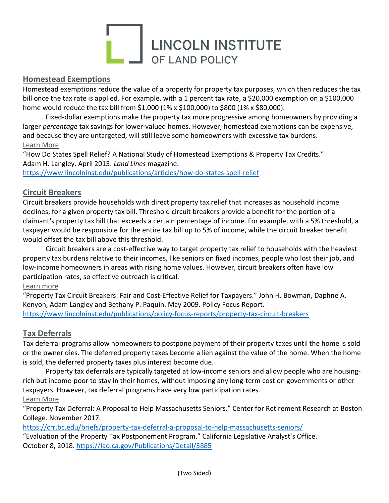# LUNCOLN INSTITUTE

# Homestead Exemptions

Homestead exemptions reduce the value of a property for property tax purposes, which then reduces the tax bill once the tax rate is applied. For example, with a 1 percent tax rate, a \$20,000 exemption on a \$100,000 home would reduce the tax bill from \$1,000 (1% x \$100,000) to \$800 (1% x \$80,000).

Fixed-dollar exemptions make the property tax more progressive among homeowners by providing a larger percentage tax savings for lower-valued homes. However, homestead exemptions can be expensive, and because they are untargeted, will still leave some homeowners with excessive tax burdens. Learn More

"How Do States Spell Relief? A National Study of Homestead Exemptions & Property Tax Credits." Adam H. Langley. April 2015. Land Lines magazine.

https://www.lincolninst.edu/publications/articles/how-do-states-spell-relief

# Circuit Breakers

Circuit breakers provide households with direct property tax relief that increases as household income declines, for a given property tax bill. Threshold circuit breakers provide a benefit for the portion of a claimant's property tax bill that exceeds a certain percentage of income. For example, with a 5% threshold, a taxpayer would be responsible for the entire tax bill up to 5% of income, while the circuit breaker benefit would offset the tax bill above this threshold.

 Circuit breakers are a cost-effective way to target property tax relief to households with the heaviest property tax burdens relative to their incomes, like seniors on fixed incomes, people who lost their job, and low-income homeowners in areas with rising home values. However, circuit breakers often have low participation rates, so effective outreach is critical.

## Learn more

"Property Tax Circuit Breakers: Fair and Cost-Effective Relief for Taxpayers." John H. Bowman, Daphne A. Kenyon, Adam Langley and Bethany P. Paquin. May 2009. Policy Focus Report. https://www.lincolninst.edu/publications/policy-focus-reports/property-tax-circuit-breakers

## Tax Deferrals

Tax deferral programs allow homeowners to postpone payment of their property taxes until the home is sold or the owner dies. The deferred property taxes become a lien against the value of the home. When the home is sold, the deferred property taxes plus interest become due.

Property tax deferrals are typically targeted at low-income seniors and allow people who are housingrich but income-poor to stay in their homes, without imposing any long-term cost on governments or other taxpayers. However, tax deferral programs have very low participation rates. Learn More

"Property Tax Deferral: A Proposal to Help Massachusetts Seniors." Center for Retirement Research at Boston College. November 2017.

https://crr.bc.edu/briefs/property-tax-deferral-a-proposal-to-help-massachusetts-seniors/

"Evaluation of the Property Tax Postponement Program." California Legislative Analyst's Office. October 8, 2018. https://lao.ca.gov/Publications/Detail/3885